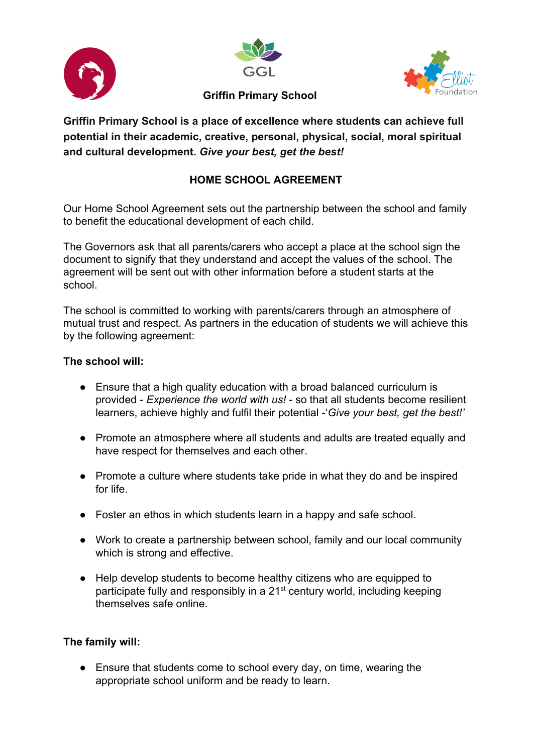





## **Griffin Primary School**

**Griffin Primary School is a place of excellence where students can achieve full potential in their academic, creative, personal, physical, social, moral spiritual and cultural development.** *Give your best, get the best!*

## **HOME SCHOOL AGREEMENT**

Our Home School Agreement sets out the partnership between the school and family to benefit the educational development of each child.

The Governors ask that all parents/carers who accept a place at the school sign the document to signify that they understand and accept the values of the school. The agreement will be sent out with other information before a student starts at the school.

The school is committed to working with parents/carers through an atmosphere of mutual trust and respect. As partners in the education of students we will achieve this by the following agreement:

## **The school will:**

- Ensure that a high quality education with a broad balanced curriculum is provided - *Experience the world with us!* - so that all students become resilient learners, achieve highly and fulfil their potential -'*Give your best, get the best!'*
- Promote an atmosphere where all students and adults are treated equally and have respect for themselves and each other.
- Promote a culture where students take pride in what they do and be inspired for life.
- Foster an ethos in which students learn in a happy and safe school.
- Work to create a partnership between school, family and our local community which is strong and effective.
- Help develop students to become healthy citizens who are equipped to participate fully and responsibly in a 21<sup>st</sup> century world, including keeping themselves safe online.

## **The family will:**

• Ensure that students come to school every day, on time, wearing the appropriate school uniform and be ready to learn.